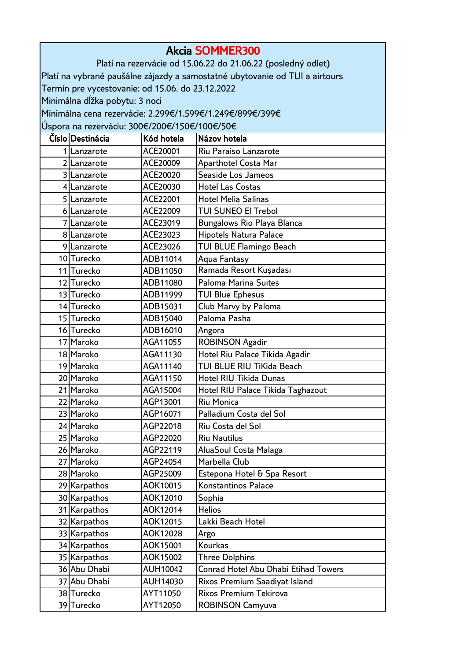| <b>Akcia SOMMER300</b>                           |                      |                                                                             |  |
|--------------------------------------------------|----------------------|-----------------------------------------------------------------------------|--|
|                                                  |                      | Platí na rezervácie od 15.06.22 do 21.06.22 (posledný odlet)                |  |
|                                                  |                      | Platí na vybrané paušálne zájazdy a samostatné ubytovanie od TUI a airtours |  |
| Termín pre vycestovanie: od 15.06. do 23.12.2022 |                      |                                                                             |  |
| Minimálna dĺžka pobytu: 3 noci                   |                      |                                                                             |  |
|                                                  |                      | Minimálna cena rezervácie: 2.299€/1.599€/1.249€/899€/399€                   |  |
| Úspora na rezerváciu: 300€/200€/150€/100€/50€    |                      |                                                                             |  |
| Císlo Destinácia                                 | Kód hotela           | Názov hotela                                                                |  |
| 1 Lanzarote                                      | ACE20001             | Riu Paraiso Lanzarote                                                       |  |
| 2 Lanzarote                                      | ACE20009             | <b>Aparthotel Costa Mar</b>                                                 |  |
| 3 Lanzarote                                      | ACE20020             | Seaside Los Jameos                                                          |  |
| 4 Lanzarote                                      | ACE20030             | <b>Hotel Las Costas</b>                                                     |  |
| 5 Lanzarote                                      | ACE22001             | <b>Hotel Melia Salinas</b>                                                  |  |
| 6 Lanzarote                                      | ACE22009             | <b>TUI SUNEO El Trebol</b>                                                  |  |
| 7 Lanzarote                                      | ACE23019             | <b>Bungalows Rio Playa Blanca</b>                                           |  |
| 8 Lanzarote                                      | ACE23023             | <b>Hipotels Natura Palace</b>                                               |  |
| 9Lanzarote                                       | ACE23026             | <b>TUI BLUE Flamingo Beach</b>                                              |  |
| 10 Turecko                                       | ADB11014             | <b>Aqua Fantasy</b>                                                         |  |
| 11 Turecko                                       | ADB11050             | Ramada Resort Kuşadası                                                      |  |
| 12 Turecko                                       | ADB11080             | <b>Paloma Marina Suites</b>                                                 |  |
| 13 Turecko                                       | ADB11999             | <b>TUI Blue Ephesus</b>                                                     |  |
| 14 Turecko                                       | ADB15031             | Club Marvy by Paloma                                                        |  |
| 15 Turecko                                       | ADB15040             | Paloma Pasha                                                                |  |
| 16 Turecko<br>17 Maroko                          | ADB16010             | Angora                                                                      |  |
| 18 Maroko                                        | AGA11055<br>AGA11130 | <b>ROBINSON Agadir</b><br>Hotel Riu Palace Tikida Agadir                    |  |
| 19 Maroko                                        | AGA11140             | TUI BLUE RIU TiKida Beach                                                   |  |
| 20 Maroko                                        | AGA11150             | <b>Hotel RIU Tikida Dunas</b>                                               |  |
| 21 Maroko                                        | AGA15004             | Hotel RIU Palace Tikida Taghazout                                           |  |
| 22 Maroko                                        | AGP13001             | Riu Monica                                                                  |  |
| 23 Maroko                                        | AGP16071             | Palladium Costa del Sol                                                     |  |
| 24 Maroko                                        | AGP22018             | Riu Costa del Sol                                                           |  |
| 25 Maroko                                        | AGP22020             | <b>Riu Nautilus</b>                                                         |  |
| 26 Maroko                                        | AGP22119             | AluaSoul Costa Malaga                                                       |  |
| 27 Maroko                                        | AGP24054             | Marbella Club                                                               |  |
| 28 Maroko                                        | AGP25009             | Estepona Hotel & Spa Resort                                                 |  |
| 29 Karpathos                                     | AOK10015             | Konstantinos Palace                                                         |  |
| 30 Karpathos                                     | AOK12010             | Sophia                                                                      |  |
| 31 Karpathos                                     | AOK12014             | <b>Helios</b>                                                               |  |
| 32 Karpathos                                     | AOK12015             | Lakki Beach Hotel                                                           |  |
| 33 Karpathos                                     | AOK12028             | Argo                                                                        |  |
| 34 Karpathos                                     | AOK15001             | <b>Kourkas</b>                                                              |  |
| 35 Karpathos                                     | AOK15002             | <b>Three Dolphins</b>                                                       |  |
| 36 Abu Dhabi                                     | AUH10042             | Conrad Hotel Abu Dhabi Etihad Towers                                        |  |
| 37 Abu Dhabi                                     | AUH14030             | Rixos Premium Saadiyat Island                                               |  |
| 38 Turecko                                       | AYT11050             | <b>Rixos Premium Tekirova</b>                                               |  |
| 39 Turecko                                       | AYT12050             | <b>ROBINSON Camyuva</b>                                                     |  |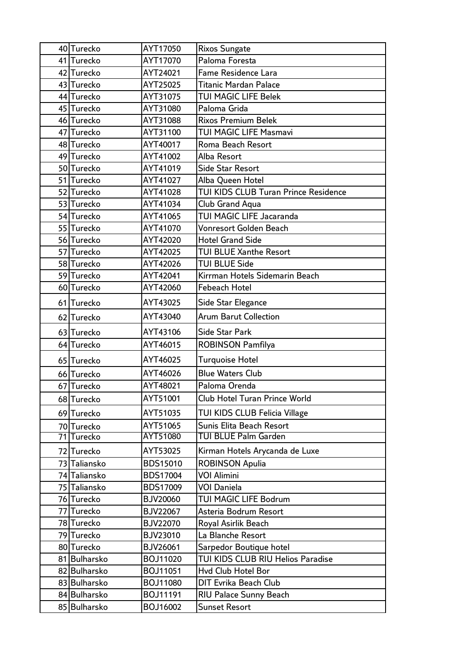|  | 40 Turecko   | AYT17050        | <b>Rixos Sungate</b>                 |
|--|--------------|-----------------|--------------------------------------|
|  | 41 Turecko   | AYT17070        | Paloma Foresta                       |
|  | 42 Turecko   | AYT24021        | Fame Residence Lara                  |
|  | 43 Turecko   | AYT25025        | Titanic Mardan Palace                |
|  | 44 Turecko   | AYT31075        | TUI MAGIC LIFE Belek                 |
|  | 45 Turecko   | AYT31080        | Paloma Grida                         |
|  | 46 Turecko   | AYT31088        | <b>Rixos Premium Belek</b>           |
|  | 47 Turecko   | AYT31100        | <b>TUI MAGIC LIFE Masmavi</b>        |
|  | 48 Turecko   | AYT40017        | Roma Beach Resort                    |
|  | 49 Turecko   | AYT41002        | Alba Resort                          |
|  | 50 Turecko   | AYT41019        | <b>Side Star Resort</b>              |
|  | 51 Turecko   | AYT41027        | Alba Queen Hotel                     |
|  | 52 Turecko   | AYT41028        | TUI KIDS CLUB Turan Prince Residence |
|  | 53 Turecko   | AYT41034        | Club Grand Aqua                      |
|  | 54 Turecko   | AYT41065        | TUI MAGIC LIFE Jacaranda             |
|  | 55 Turecko   | AYT41070        | Vonresort Golden Beach               |
|  | 56 Turecko   | AYT42020        | <b>Hotel Grand Side</b>              |
|  | 57 Turecko   | AYT42025        | <b>TUI BLUE Xanthe Resort</b>        |
|  | 58 Turecko   | AYT42026        | <b>TUI BLUE Side</b>                 |
|  | 59 Turecko   | AYT42041        | Kirrman Hotels Sidemarin Beach       |
|  | 60 Turecko   | AYT42060        | <b>Febeach Hotel</b>                 |
|  | 61 Turecko   | AYT43025        | Side Star Elegance                   |
|  | 62 Turecko   | AYT43040        | <b>Arum Barut Collection</b>         |
|  | 63 Turecko   | AYT43106        | <b>Side Star Park</b>                |
|  | 64 Turecko   | AYT46015        | <b>ROBINSON Pamfilya</b>             |
|  | 65 Turecko   | AYT46025        | Turquoise Hotel                      |
|  | 66 Turecko   | AYT46026        | <b>Blue Waters Club</b>              |
|  | 67 Turecko   | AYT48021        | Paloma Orenda                        |
|  | 68 Turecko   | AYT51001        | <b>Club Hotel Turan Prince World</b> |
|  | 69 Turecko   | AYT51035        | TUI KIDS CLUB Felicia Village        |
|  | 70 Turecko   | AYT51065        | Sunis Elita Beach Resort             |
|  | 71 Turecko   | AYT51080        | <b>TUI BLUE Palm Garden</b>          |
|  | 72 Turecko   | AYT53025        | Kirman Hotels Arycanda de Luxe       |
|  | 73 Taliansko | <b>BDS15010</b> | <b>ROBINSON Apulia</b>               |
|  | 74 Taliansko | <b>BDS17004</b> | VOI Alimini                          |
|  | 75 Taliansko | <b>BDS17009</b> | <b>VOI Daniela</b>                   |
|  | 76 Turecko   | <b>BJV20060</b> | TUI MAGIC LIFE Bodrum                |
|  | 77 Turecko   | <b>BJV22067</b> | Asteria Bodrum Resort                |
|  | 78 Turecko   | <b>BJV22070</b> | Royal Asirlik Beach                  |
|  | 79 Turecko   | <b>BJV23010</b> | La Blanche Resort                    |
|  | 80 Turecko   | <b>BJV26061</b> | Sarpedor Boutique hotel              |
|  | 81 Bulharsko | BOJ11020        | TUI KIDS CLUB RIU Helios Paradise    |
|  | 82 Bulharsko | BOJ11051        | Hvd Club Hotel Bor                   |
|  | 83 Bulharsko | BOJ11080        | <b>DIT Evrika Beach Club</b>         |
|  | 84 Bulharsko | BOJ11191        | RIU Palace Sunny Beach               |
|  | 85 Bulharsko | BOJ16002        | <b>Sunset Resort</b>                 |
|  |              |                 |                                      |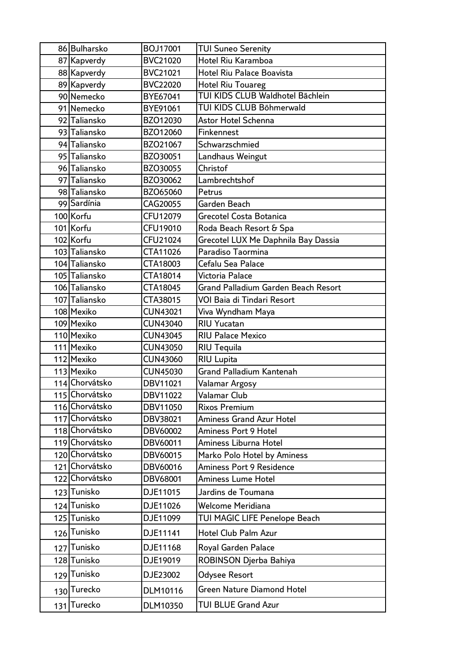|     | 86 Bulharsko   | BOJ17001        | <b>TUI Suneo Serenity</b>           |
|-----|----------------|-----------------|-------------------------------------|
|     | 87 Kapverdy    | <b>BVC21020</b> | Hotel Riu Karamboa                  |
|     | 88 Kapverdy    | BVC21021        | Hotel Riu Palace Boavista           |
|     | 89 Kapverdy    | <b>BVC22020</b> | <b>Hotel Riu Touareg</b>            |
|     | 90 Nemecko     | BYE67041        | TUI KIDS CLUB Waldhotel Bächlein    |
|     | 91 Nemecko     | BYE91061        | TUI KIDS CLUB Böhmerwald            |
|     | 92 Taliansko   | BZO12030        | Astor Hotel Schenna                 |
|     | 93 Taliansko   | BZO12060        | Finkennest                          |
|     | 94 Taliansko   | BZO21067        | Schwarzschmied                      |
|     | 95 Taliansko   | BZO30051        | Landhaus Weingut                    |
|     | 96 Taliansko   | BZO30055        | Christof                            |
|     | 97 Taliansko   | BZO30062        | Lambrechtshof                       |
|     | 98 Taliansko   | BZO65060        | Petrus                              |
|     | 99 Sardínia    | CAG20055        | Garden Beach                        |
|     | 100 Korfu      | CFU12079        | Grecotel Costa Botanica             |
|     | 101 Korfu      | CFU19010        | Roda Beach Resort & Spa             |
|     | 102 Korfu      | CFU21024        | Grecotel LUX Me Daphnila Bay Dassia |
|     | 103 Taliansko  | CTA11026        | Paradiso Taormina                   |
|     | 104 Taliansko  | CTA18003        | Cefalu Sea Palace                   |
|     | 105 Taliansko  | CTA18014        | Victoria Palace                     |
|     | 106 Taliansko  | CTA18045        | Grand Palladium Garden Beach Resort |
|     | 107 Taliansko  | CTA38015        | VOI Baia di Tindari Resort          |
|     | 108 Mexiko     | <b>CUN43021</b> | Viva Wyndham Maya                   |
|     | 109 Mexiko     | <b>CUN43040</b> | <b>RIU Yucatan</b>                  |
|     | 110 Mexiko     | <b>CUN43045</b> | <b>RIU Palace Mexico</b>            |
|     | 111 Mexiko     | <b>CUN43050</b> | <b>RIU Tequila</b>                  |
|     | 112 Mexiko     | <b>CUN43060</b> | <b>RIU Lupita</b>                   |
|     | 113 Mexiko     | <b>CUN45030</b> | Grand Palladium Kantenah            |
|     | 114 Chorvátsko | DBV11021        | Valamar Argosy                      |
|     | 115 Chorvátsko | DBV11022        | Valamar Club                        |
|     | 116 Chorvátsko | DBV11050        | <b>Rixos Premium</b>                |
|     | 117 Chorvátsko | DBV38021        | <b>Aminess Grand Azur Hotel</b>     |
|     | 118 Chorvátsko | DBV60002        | <b>Aminess Port 9 Hotel</b>         |
|     | 119 Chorvátsko | DBV60011        | Aminess Liburna Hotel               |
|     | 120 Chorvátsko | DBV60015        | Marko Polo Hotel by Aminess         |
|     | 121 Chorvátsko | DBV60016        | <b>Aminess Port 9 Residence</b>     |
|     | 122 Chorvátsko | DBV68001        | Aminess Lume Hotel                  |
|     | 123 Tunisko    | DJE11015        | Jardins de Toumana                  |
|     | 124 Tunisko    | DJE11026        | Welcome Meridiana                   |
|     | 125 Tunisko    | DJE11099        | TUI MAGIC LIFE Penelope Beach       |
|     | 126 Tunisko    | DJE11141        | Hotel Club Palm Azur                |
| 127 | Tunisko        | DJE11168        | Royal Garden Palace                 |
|     | 128 Tunisko    | DJE19019        | ROBINSON Djerba Bahiya              |
|     | 129 Tunisko    | DJE23002        | <b>Odysee Resort</b>                |
|     | 130 Turecko    | DLM10116        | <b>Green Nature Diamond Hotel</b>   |
|     | 131 Turecko    | DLM10350        | <b>TUI BLUE Grand Azur</b>          |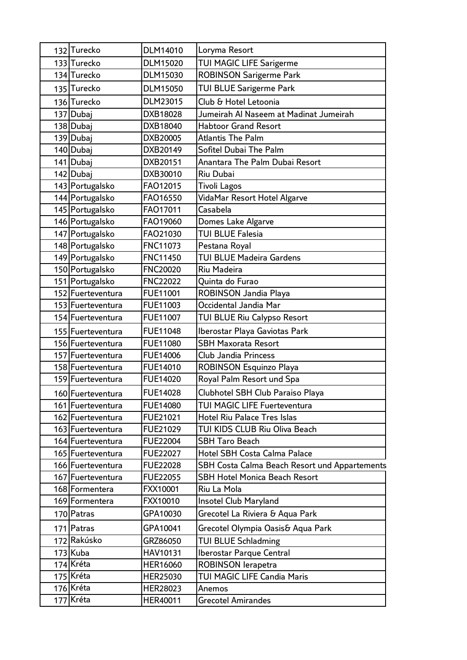| 132 Turecko       | DLM14010        | Loryma Resort                                 |
|-------------------|-----------------|-----------------------------------------------|
| 133 Turecko       | DLM15020        | TUI MAGIC LIFE Sarigerme                      |
| 134 Turecko       | DLM15030        | <b>ROBINSON Sarigerme Park</b>                |
| 135 Turecko       | DLM15050        | <b>TUI BLUE Sarigerme Park</b>                |
| 136 Turecko       | DLM23015        | Club & Hotel Letoonia                         |
| 137 Dubaj         | DXB18028        | Jumeirah Al Naseem at Madinat Jumeirah        |
| 138 Dubaj         | DXB18040        | <b>Habtoor Grand Resort</b>                   |
| 139 Dubaj         | DXB20005        | <b>Atlantis The Palm</b>                      |
| 140 Dubaj         | DXB20149        | Sofitel Dubai The Palm                        |
| 141 Dubaj         | DXB20151        | Anantara The Palm Dubai Resort                |
| 142 Dubaj         | DXB30010        | Riu Dubai                                     |
| 143 Portugalsko   | FAO12015        | <b>Tivoli Lagos</b>                           |
| 144 Portugalsko   | FAO16550        | VidaMar Resort Hotel Algarve                  |
| 145 Portugalsko   | FAO17011        | Casabela                                      |
| 146 Portugalsko   | FAO19060        | Domes Lake Algarve                            |
| 147 Portugalsko   | FAO21030        | <b>TUI BLUE Falesia</b>                       |
| 148 Portugalsko   | <b>FNC11073</b> | Pestana Royal                                 |
| 149 Portugalsko   | <b>FNC11450</b> | <b>TUI BLUE Madeira Gardens</b>               |
| 150 Portugalsko   | <b>FNC20020</b> | <b>Riu Madeira</b>                            |
| 151 Portugalsko   | <b>FNC22022</b> | Quinta do Furao                               |
| 152 Fuerteventura | FUE11001        | ROBINSON Jandia Playa                         |
| 153 Fuerteventura | FUE11003        | Occidental Jandia Mar                         |
| 154 Fuerteventura | FUE11007        | TUI BLUE Riu Calypso Resort                   |
| 155 Fuerteventura | FUE11048        | Iberostar Playa Gaviotas Park                 |
| 156 Fuerteventura | FUE11080        | <b>SBH Maxorata Resort</b>                    |
| 157 Fuerteventura | FUE14006        | <b>Club Jandia Princess</b>                   |
| 158 Fuerteventura | FUE14010        | <b>ROBINSON Esquinzo Playa</b>                |
| 159 Fuerteventura | FUE14020        | Royal Palm Resort und Spa                     |
| 160 Fuerteventura | <b>FUE14028</b> | Clubhotel SBH Club Paraiso Playa              |
| 161 Fuerteventura | <b>FUE14080</b> | TUI MAGIC LIFE Fuerteventura                  |
| 162 Fuerteventura | FUE21021        | <b>Hotel Riu Palace Tres Islas</b>            |
| 163 Fuerteventura | FUE21029        | TUI KIDS CLUB Riu Oliva Beach                 |
| 164 Fuerteventura | <b>FUE22004</b> | <b>SBH Taro Beach</b>                         |
| 165 Fuerteventura | <b>FUE22027</b> | Hotel SBH Costa Calma Palace                  |
| 166 Fuerteventura | <b>FUE22028</b> | SBH Costa Calma Beach Resort und Appartements |
| 167 Fuerteventura | <b>FUE22055</b> | <b>SBH Hotel Monica Beach Resort</b>          |
| 168 Formentera    | FXX10001        | Riu La Mola                                   |
| 169 Formentera    | FXX10010        | Insotel Club Maryland                         |
| 170 Patras        | GPA10030        | Grecotel La Riviera & Aqua Park               |
| 171 Patras        | GPA10041        | Grecotel Olympia Oasis& Aqua Park             |
| 172 Rakúsko       | GRZ86050        | <b>TUI BLUE Schladming</b>                    |
| 173 Kuba          | HAV10131        | <b>Iberostar Parque Central</b>               |
| 174 Kréta         | HER16060        | <b>ROBINSON lerapetra</b>                     |
| 175 Kréta         | HER25030        | TUI MAGIC LIFE Candia Maris                   |
| 176 Kréta         | HER28023        | Anemos                                        |
| 177 Kréta         | HER40011        | <b>Grecotel Amirandes</b>                     |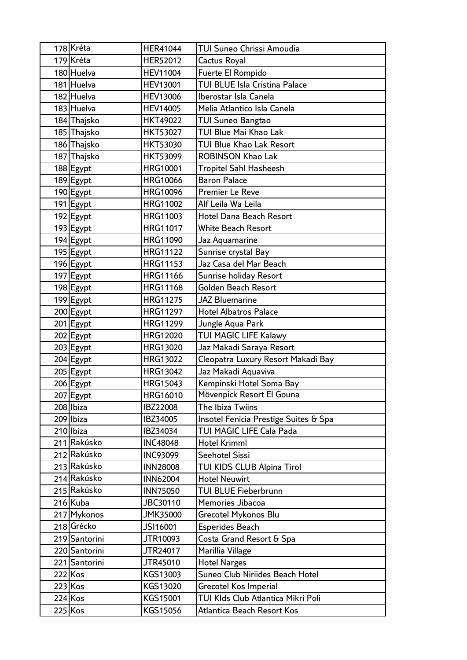|  | 178 Kréta     | <b>HER41044</b> | <b>TUI Suneo Chrissi Amoudia</b>      |
|--|---------------|-----------------|---------------------------------------|
|  | 179 Kréta     | HER52012        | Cactus Royal                          |
|  | 180 Huelva    | <b>HEV11004</b> | Fuerte El Rompido                     |
|  | 181 Huelva    | <b>HEV13001</b> | TUI BLUE Isla Cristina Palace         |
|  | 182 Huelva    | <b>HEV13006</b> | Iberostar Isla Canela                 |
|  | 183 Huelva    | <b>HEV14005</b> | Melia Atlantico Isla Canela           |
|  | 184 Thajsko   | <b>HKT49022</b> | <b>TUI Suneo Bangtao</b>              |
|  | 185 Thajsko   | <b>HKT53027</b> | TUI Blue Mai Khao Lak                 |
|  | 186 Thajsko   | <b>HKT53030</b> | TUI Blue Khao Lak Resort              |
|  | 187 Thajsko   | <b>HKT53099</b> | <b>ROBINSON Khao Lak</b>              |
|  | 188 Egypt     | <b>HRG10001</b> | Tropitel Sahl Hasheesh                |
|  | 189 Egypt     | <b>HRG10066</b> | <b>Baron Palace</b>                   |
|  | 190 Egypt     | <b>HRG10096</b> | Premier Le Reve                       |
|  | 191 Egypt     | HRG11002        | Alf Leila Wa Leila                    |
|  | 192 Egypt     | HRG11003        | Hotel Dana Beach Resort               |
|  | 193 Egypt     | HRG11017        | <b>White Beach Resort</b>             |
|  | 194 Egypt     | HRG11090        | Jaz Aquamarine                        |
|  | 195 Egypt     | <b>HRG11122</b> | Sunrise crystal Bay                   |
|  | 196 Egypt     | HRG11153        | Jaz Casa del Mar Beach                |
|  | 197 Egypt     | <b>HRG11166</b> | Sunrise holiday Resort                |
|  | 198 Egypt     | <b>HRG11168</b> | Golden Beach Resort                   |
|  | 199 Egypt     | HRG11275        | <b>JAZ Bluemarine</b>                 |
|  | 200 Egypt     | HRG11297        | <b>Hotel Albatros Palace</b>          |
|  | 201 Egypt     | HRG11299        | Jungle Aqua Park                      |
|  | 202 Egypt     | HRG12020        | TUI MAGIC LIFE Kalawy                 |
|  | 203 Egypt     | HRG13020        | Jaz Makadi Saraya Resort              |
|  | 204 Egypt     | HRG13022        | Cleopatra Luxury Resort Makadi Bay    |
|  | 205 Egypt     | HRG13042        | Jaz Makadi Aquaviva                   |
|  | 206 Egypt     | HRG15043        | Kempinski Hotel Soma Bay              |
|  | 207 Egypt     | HRG16010        | Mövenpick Resort El Gouna             |
|  | 208 Ibiza     | IBZ22008        | The Ibiza Twiins                      |
|  | 209 Ibiza     | IBZ34005        | Insotel Fenicia Prestige Suites & Spa |
|  | 210 Ibiza     | IBZ34034        | TUI MAGIC LIFE Cala Pada              |
|  | 211 Rakúsko   | <b>INC48048</b> | Hotel Krimml                          |
|  | 212 Rakúsko   | <b>INC93099</b> | Seehotel Sissi                        |
|  | 213 Rakúsko   | <b>INN28008</b> | TUI KIDS CLUB Alpina Tirol            |
|  | 214 Rakúsko   | <b>INN62004</b> | <b>Hotel Neuwirt</b>                  |
|  | 215 Rakúsko   | <b>INN75050</b> | <b>TUI BLUE Fieberbrunn</b>           |
|  | 216 Kuba      | JBC30110        | Memories Jibacoa                      |
|  | 217 Mykonos   | <b>JMK35000</b> | Grecotel Mykonos Blu                  |
|  | 218 Grécko    | JSI16001        | <b>Esperides Beach</b>                |
|  | 219 Santorini | JTR10093        | Costa Grand Resort & Spa              |
|  | 220 Santorini | JTR24017        | Marillia Village                      |
|  | 221 Santorini | JTR45010        | <b>Hotel Narges</b>                   |
|  | 222 Kos       | KGS13003        | Suneo Club Niriides Beach Hotel       |
|  | 223 Kos       | KGS13020        | <b>Grecotel Kos Imperial</b>          |
|  | 224 Kos       | KGS15001        | TUI KIds Club Atlantica Mikri Poli    |
|  | 225 Kos       | KGS15056        | Atlantica Beach Resort Kos            |
|  |               |                 |                                       |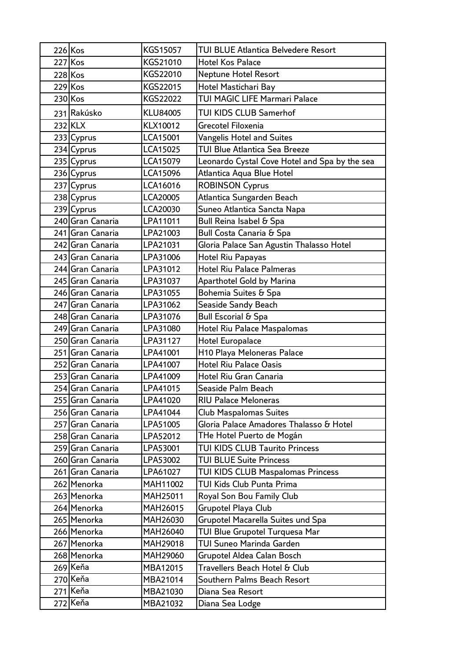| 226 Kos   |                                      | KGS15057             | TUI BLUE Atlantica Belvedere Resort                                      |
|-----------|--------------------------------------|----------------------|--------------------------------------------------------------------------|
|           | 227 Kos                              | KGS21010             | <b>Hotel Kos Palace</b>                                                  |
| 228 Kos   |                                      | KGS22010             | Neptune Hotel Resort                                                     |
| $229$ Kos |                                      | KGS22015             | Hotel Mastichari Bay                                                     |
|           | 230 Kos                              | KGS22022             | TUI MAGIC LIFE Marmari Palace                                            |
|           | 231 Rakúsko                          | <b>KLU84005</b>      | TUI KIDS CLUB Samerhof                                                   |
|           | 232 KLX                              | KLX10012             | Grecotel Filoxenia                                                       |
|           | 233 Cyprus                           | LCA15001             | <b>Vangelis Hotel and Suites</b>                                         |
|           | 234 Cyprus                           | LCA15025             | <b>TUI Blue Atlantica Sea Breeze</b>                                     |
|           | 235 Cyprus                           | LCA15079             | Leonardo Cystal Cove Hotel and Spa by the sea                            |
|           | 236 Cyprus                           | LCA15096             | Atlantica Aqua Blue Hotel                                                |
|           | 237 Cyprus                           | LCA16016             | <b>ROBINSON Cyprus</b>                                                   |
|           | 238 Cyprus                           | LCA20005             | Atlantica Sungarden Beach                                                |
|           | 239 Cyprus                           | LCA20030             | Suneo Atlantica Sancta Napa                                              |
|           | 240 Gran Canaria                     | LPA11011             | Bull Reina Isabel & Spa                                                  |
|           | 241 Gran Canaria                     | LPA21003             | Bull Costa Canaria & Spa                                                 |
|           | 242 Gran Canaria                     | LPA21031             | Gloria Palace San Agustin Thalasso Hotel                                 |
|           | 243 Gran Canaria                     | LPA31006             | <b>Hotel Riu Papayas</b>                                                 |
|           | 244 Gran Canaria                     | LPA31012             | <b>Hotel Riu Palace Palmeras</b>                                         |
|           | 245 Gran Canaria                     | LPA31037             | <b>Aparthotel Gold by Marina</b>                                         |
|           | 246 Gran Canaria                     | LPA31055             | Bohemia Suites & Spa                                                     |
|           | 247 Gran Canaria                     | LPA31062             | Seaside Sandy Beach                                                      |
|           | 248 Gran Canaria                     | LPA31076             | <b>Bull Escorial &amp; Spa</b>                                           |
|           | 249 Gran Canaria                     | LPA31080             | <b>Hotel Riu Palace Maspalomas</b>                                       |
|           | 250 Gran Canaria                     | LPA31127             | <b>Hotel Europalace</b>                                                  |
|           | 251 Gran Canaria                     | LPA41001             | H10 Playa Meloneras Palace                                               |
|           | 252 Gran Canaria                     | LPA41007             | <b>Hotel Riu Palace Oasis</b>                                            |
|           | 253 Gran Canaria                     | LPA41009             | Hotel Riu Gran Canaria                                                   |
|           | 254 Gran Canaria                     | LPA41015             | Seaside Palm Beach<br><b>RIU Palace Meloneras</b>                        |
|           | 255 Gran Canaria<br>256 Gran Canaria | LPA41020             |                                                                          |
|           | 257 Gran Canaria                     | LPA41044<br>LPA51005 | <b>Club Maspalomas Suites</b><br>Gloria Palace Amadores Thalasso & Hotel |
|           | 258 Gran Canaria                     | LPA52012             | THe Hotel Puerto de Mogán                                                |
|           | 259 Gran Canaria                     | LPA53001             | TUI KIDS CLUB Taurito Princess                                           |
|           | 260 Gran Canaria                     | LPA53002             | <b>TUI BLUE Suite Princess</b>                                           |
|           | 261 Gran Canaria                     | LPA61027             | TUI KIDS CLUB Maspalomas Princess                                        |
|           | 262 Menorka                          | MAH11002             | TUI Kids Club Punta Prima                                                |
|           | 263 Menorka                          | MAH25011             | Royal Son Bou Family Club                                                |
|           | 264 Menorka                          | MAH26015             | Grupotel Playa Club                                                      |
|           | 265 Menorka                          | MAH26030             | Grupotel Macarella Suites und Spa                                        |
|           | 266 Menorka                          | <b>MAH26040</b>      | TUI Blue Grupotel Turquesa Mar                                           |
|           | 267 Menorka                          | MAH29018             | TUI Suneo Marinda Garden                                                 |
|           | 268 Menorka                          | MAH29060             | Grupotel Aldea Calan Bosch                                               |
|           | 269 Keňa                             | MBA12015             | Travellers Beach Hotel & Club                                            |
|           | 270 Keňa                             | MBA21014             | Southern Palms Beach Resort                                              |
|           | 271 Keňa                             | MBA21030             | Diana Sea Resort                                                         |
|           | 272 Keňa                             | MBA21032             | Diana Sea Lodge                                                          |
|           |                                      |                      |                                                                          |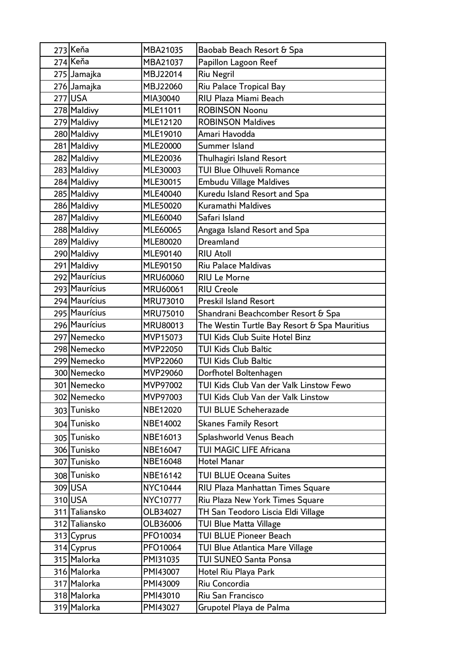|  | 273 Keňa       | MBA21035        | Baobab Beach Resort & Spa                    |
|--|----------------|-----------------|----------------------------------------------|
|  | 274 Keňa       | MBA21037        | Papillon Lagoon Reef                         |
|  | 275 Jamajka    | MBJ22014        | <b>Riu Negril</b>                            |
|  | 276 Jamajka    | MBJ22060        | Riu Palace Tropical Bay                      |
|  | <b>277 USA</b> | MIA30040        | RIU Plaza Miami Beach                        |
|  | 278 Maldivy    | MLE11011        | <b>ROBINSON Noonu</b>                        |
|  | 279 Maldivy    | MLE12120        | <b>ROBINSON Maldives</b>                     |
|  | 280 Maldivy    | MLE19010        | Amari Havodda                                |
|  | 281 Maldivy    | <b>MLE20000</b> | Summer Island                                |
|  | 282 Maldivy    | MLE20036        | Thulhagiri Island Resort                     |
|  | 283 Maldivy    | MLE30003        | <b>TUI Blue Olhuveli Romance</b>             |
|  | 284 Maldivy    | MLE30015        | <b>Embudu Village Maldives</b>               |
|  | 285 Maldivy    | MLE40040        | Kuredu Island Resort and Spa                 |
|  | 286 Maldivy    | MLE50020        | <b>Kuramathi Maldives</b>                    |
|  | 287 Maldivy    | MLE60040        | Safari Island                                |
|  | 288 Maldivy    | MLE60065        | Angaga Island Resort and Spa                 |
|  | 289 Maldivy    | MLE80020        | <b>Dreamland</b>                             |
|  | 290 Maldivy    | MLE90140        | <b>RIU Atoll</b>                             |
|  | 291 Maldivy    | MLE90150        | <b>Riu Palace Maldivas</b>                   |
|  | 292 Maurícius  | <b>MRU60060</b> | <b>RIU Le Morne</b>                          |
|  | 293 Maurícius  | <b>MRU60061</b> | <b>RIU Creole</b>                            |
|  | 294 Maurícius  | MRU73010        | <b>Preskil Island Resort</b>                 |
|  | 295 Maurícius  | <b>MRU75010</b> | Shandrani Beachcomber Resort & Spa           |
|  | 296 Maurícius  | <b>MRU80013</b> | The Westin Turtle Bay Resort & Spa Mauritius |
|  | 297 Nemecko    | MVP15073        | TUI Kids Club Suite Hotel Binz               |
|  | 298 Nemecko    | MVP22050        | <b>TUI Kids Club Baltic</b>                  |
|  | 299 Nemecko    | MVP22060        | <b>TUI Kids Club Baltic</b>                  |
|  | 300 Nemecko    | MVP29060        | Dorfhotel Boltenhagen                        |
|  | 301 Nemecko    | MVP97002        | TUI Kids Club Van der Valk Linstow Fewo      |
|  | 302 Nemecko    | MVP97003        | TUI Kids Club Van der Valk Linstow           |
|  | 303 Tunisko    | NBE12020        | <b>TUI BLUE Scheherazade</b>                 |
|  | 304 Tunisko    | NBE14002        | <b>Skanes Family Resort</b>                  |
|  | 305 Tunisko    | NBE16013        | Splashworld Venus Beach                      |
|  | 306 Tunisko    | NBE16047        | TUI MAGIC LIFE Africana                      |
|  | 307 Tunisko    | NBE16048        | <b>Hotel Manar</b>                           |
|  | 308 Tunisko    | NBE16142        | TUI BLUE Oceana Suites                       |
|  | 309 USA        | <b>NYC10444</b> | RIU Plaza Manhattan Times Square             |
|  | 310 USA        | NYC10777        | Riu Plaza New York Times Square              |
|  | 311 Taliansko  | OLB34027        | TH San Teodoro Liscia Eldi Village           |
|  | 312 Taliansko  | OLB36006        | <b>TUI Blue Matta Village</b>                |
|  | 313 Cyprus     | PFO10034        | <b>TUI BLUE Pioneer Beach</b>                |
|  | 314 Cyprus     | PFO10064        | TUI Blue Atlantica Mare Village              |
|  | 315 Malorka    | PMI31035        | TUI SUNEO Santa Ponsa                        |
|  | 316 Malorka    | PMI43007        | Hotel Riu Playa Park                         |
|  | 317 Malorka    | PMI43009        | Riu Concordia                                |
|  | 318 Malorka    | PMI43010        | Riu San Francisco                            |
|  | 319 Malorka    | PMI43027        | Grupotel Playa de Palma                      |
|  |                |                 |                                              |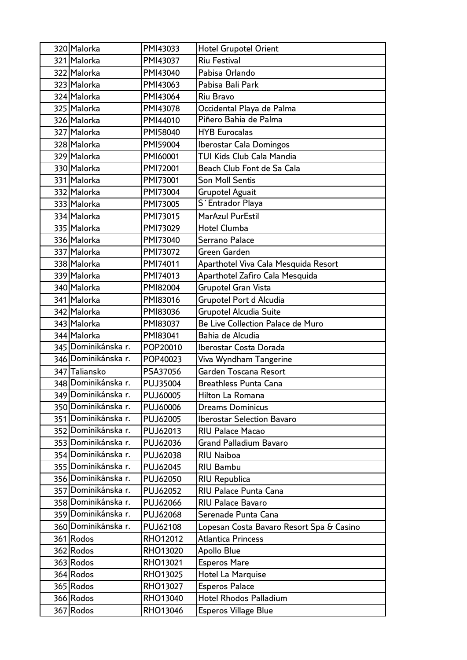| 320 Malorka         | PMI43033 | <b>Hotel Grupotel Orient</b>             |
|---------------------|----------|------------------------------------------|
| 321 Malorka         | PMI43037 | <b>Riu Festival</b>                      |
| 322 Malorka         | PMI43040 | Pabisa Orlando                           |
| 323 Malorka         | PMI43063 | Pabisa Bali Park                         |
| 324 Malorka         | PMI43064 | Riu Bravo                                |
| 325 Malorka         | PMI43078 | Occidental Playa de Palma                |
| 326 Malorka         | PMI44010 | Piñero Bahia de Palma                    |
| 327 Malorka         | PMI58040 | <b>HYB Eurocalas</b>                     |
| 328 Malorka         | PMI59004 | <b>Iberostar Cala Domingos</b>           |
| 329 Malorka         | PMI60001 | TUI Kids Club Cala Mandia                |
| 330 Malorka         | PMI72001 | Beach Club Font de Sa Cala               |
| 331 Malorka         | PMI73001 | <b>Son Moll Sentis</b>                   |
| 332 Malorka         | PMI73004 | <b>Grupotel Aguait</b>                   |
| 333 Malorka         | PMI73005 | S' Entrador Playa                        |
| 334 Malorka         | PMI73015 | MarAzul PurEstil                         |
| 335 Malorka         | PMI73029 | Hotel Clumba                             |
| 336 Malorka         | PMI73040 | Serrano Palace                           |
| 337 Malorka         | PMI73072 | Green Garden                             |
| 338 Malorka         | PMI74011 | Aparthotel Viva Cala Mesquida Resort     |
| 339 Malorka         | PMI74013 | Aparthotel Zafiro Cala Mesquida          |
| 340 Malorka         | PMI82004 | Grupotel Gran Vista                      |
| 341 Malorka         | PMI83016 | Grupotel Port d Alcudia                  |
| 342 Malorka         | PMI83036 | <b>Grupotel Alcudia Suite</b>            |
| 343 Malorka         | PMI83037 | Be Live Collection Palace de Muro        |
| 344 Malorka         | PMI83041 | Bahia de Alcudia                         |
| 345 Dominikánska r. | POP20010 | Iberostar Costa Dorada                   |
| 346 Dominikánska r. | POP40023 | Viva Wyndham Tangerine                   |
| 347 Taliansko       | PSA37056 | Garden Toscana Resort                    |
| 348 Dominikánska r. | PUJ35004 | <b>Breathless Punta Cana</b>             |
| 349 Dominikánska r. | PUJ60005 | Hilton La Romana                         |
| 350 Dominikánska r. | PUJ60006 | <b>Dreams Dominicus</b>                  |
| 351 Dominikánska r. | PUJ62005 | <b>Iberostar Selection Bavaro</b>        |
| 352 Dominikánska r. | PUJ62013 | <b>RIU Palace Macao</b>                  |
| 353 Dominikánska r. | PUJ62036 | Grand Palladium Bavaro                   |
| 354 Dominikánska r. | PUJ62038 | <b>RIU Naiboa</b>                        |
| 355 Dominikánska r. | PUJ62045 | <b>RIU Bambu</b>                         |
| 356 Dominikánska r. | PUJ62050 | <b>RIU Republica</b>                     |
| 357 Dominikánska r. | PUJ62052 | <b>RIU Palace Punta Cana</b>             |
| 358 Dominikánska r. | PUJ62066 | <b>RIU Palace Bavaro</b>                 |
| 359 Dominikánska r. | PUJ62068 | Serenade Punta Cana                      |
| 360 Dominikánska r. | PUJ62108 | Lopesan Costa Bavaro Resort Spa & Casino |
| 361 Rodos           | RHO12012 | <b>Atlantica Princess</b>                |
| 362 Rodos           | RHO13020 | Apollo Blue                              |
| 363 Rodos           | RHO13021 | <b>Esperos Mare</b>                      |
| 364 Rodos           | RHO13025 | Hotel La Marquise                        |
| 365 Rodos           | RHO13027 | <b>Esperos Palace</b>                    |
| 366 Rodos           | RHO13040 | Hotel Rhodos Palladium                   |
| 367 Rodos           | RHO13046 | <b>Esperos Village Blue</b>              |
|                     |          |                                          |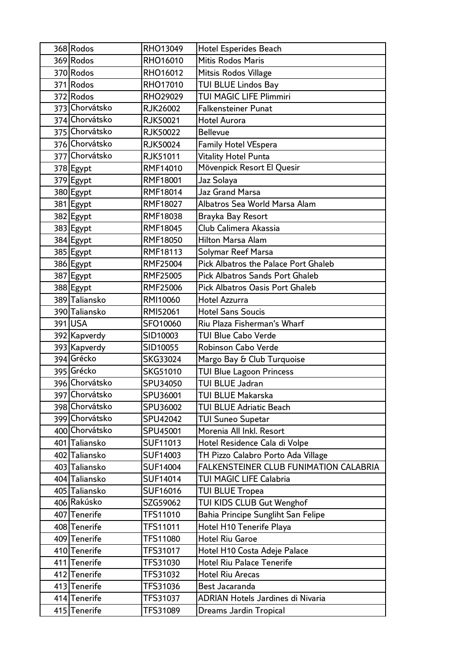| 368 Rodos      | RHO13049        | <b>Hotel Esperides Beach</b>                |
|----------------|-----------------|---------------------------------------------|
| 369 Rodos      | RHO16010        | <b>Mitis Rodos Maris</b>                    |
| 370 Rodos      | RHO16012        | Mitsis Rodos Village                        |
| 371 Rodos      | RHO17010        | <b>TUI BLUE Lindos Bay</b>                  |
| 372 Rodos      | RHO29029        | <b>TUI MAGIC LIFE Plimmiri</b>              |
| 373 Chorvátsko | <b>RJK26002</b> | <b>Falkensteiner Punat</b>                  |
| 374 Chorvátsko | RJK50021        | <b>Hotel Aurora</b>                         |
| 375 Chorvátsko | <b>RJK50022</b> | <b>Bellevue</b>                             |
| 376 Chorvátsko | <b>RJK50024</b> | <b>Family Hotel VEspera</b>                 |
| 377 Chorvátsko | RJK51011        | <b>Vitality Hotel Punta</b>                 |
| 378 Egypt      | RMF14010        | Mövenpick Resort El Quesir                  |
| 379 Egypt      | RMF18001        | Jaz Solaya                                  |
| 380 Egypt      | RMF18014        | <b>Jaz Grand Marsa</b>                      |
| 381 Egypt      | RMF18027        | Albatros Sea World Marsa Alam               |
| 382 Egypt      | RMF18038        | Brayka Bay Resort                           |
| 383 Egypt      | RMF18045        | Club Calimera Akassia                       |
| 384 Egypt      | RMF18050        | <b>Hilton Marsa Alam</b>                    |
| 385 Egypt      | RMF18113        | Solymar Reef Marsa                          |
| 386 Egypt      | RMF25004        | <b>Pick Albatros the Palace Port Ghaleb</b> |
| 387 Egypt      | RMF25005        | <b>Pick Albatros Sands Port Ghaleb</b>      |
| 388 Egypt      | RMF25006        | <b>Pick Albatros Oasis Port Ghaleb</b>      |
| 389 Taliansko  | RMI10060        | <b>Hotel Azzurra</b>                        |
| 390 Taliansko  | RMI52061        | <b>Hotel Sans Soucis</b>                    |
| 391 USA        | SFO10060        | Riu Plaza Fisherman's Wharf                 |
| 392 Kapverdy   | SID10003        | <b>TUI Blue Cabo Verde</b>                  |
| 393 Kapverdy   | SID10055        | Robinson Cabo Verde                         |
| 394 Grécko     | SKG33024        | Margo Bay & Club Turquoise                  |
| 395 Grécko     | SKG51010        | <b>TUI Blue Lagoon Princess</b>             |
| 396 Chorvátsko | SPU34050        | TUI BLUE Jadran                             |
| 397 Chorvátsko | SPU36001        | TUI BLUE Makarska                           |
| 398 Chorvátsko | SPU36002        | <b>TUI BLUE Adriatic Beach</b>              |
| 399 Chorvátsko | SPU42042        | <b>TUI Suneo Supetar</b>                    |
| 400 Chorvátsko | SPU45001        | Morenia All Inkl. Resort                    |
| 401 Taliansko  | SUF11013        | Hotel Residence Cala di Volpe               |
| 402 Taliansko  | SUF14003        | TH Pizzo Calabro Porto Ada Village          |
| 403 Taliansko  | <b>SUF14004</b> | FALKENSTEINER CLUB FUNIMATION CALABRIA      |
| 404 Taliansko  | SUF14014        | <b>TUI MAGIC LIFE Calabria</b>              |
| 405 Taliansko  | SUF16016        | <b>TUI BLUE Tropea</b>                      |
| 406 Rakúsko    | SZG59062        | TUI KIDS CLUB Gut Wenghof                   |
| 407 Tenerife   | TFS11010        | Bahia Principe Sungliht San Felipe          |
| 408 Tenerife   | TFS11011        | Hotel H10 Tenerife Playa                    |
| 409 Tenerife   | <b>TFS11080</b> | <b>Hotel Riu Garoe</b>                      |
| 410 Tenerife   | TFS31017        | Hotel H10 Costa Adeje Palace                |
| 411 Tenerife   | TFS31030        | <b>Hotel Riu Palace Tenerife</b>            |
| 412 Tenerife   | TFS31032        | <b>Hotel Riu Arecas</b>                     |
| 413 Tenerife   | TFS31036        | Best Jacaranda                              |
| 414 Tenerife   | TFS31037        | <b>ADRIAN Hotels Jardines di Nivaria</b>    |
| 415 Tenerife   | TFS31089        | Dreams Jardin Tropical                      |
|                |                 |                                             |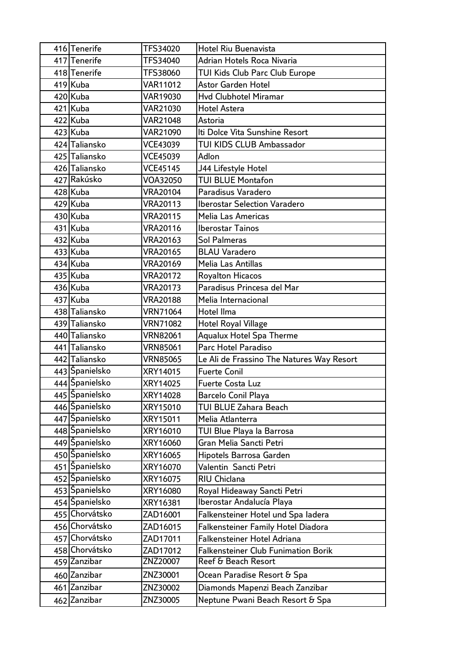| 416 Tenerife   | TFS34020        | Hotel Riu Buenavista                       |
|----------------|-----------------|--------------------------------------------|
| 417 Tenerife   | TFS34040        | Adrian Hotels Roca Nivaria                 |
| 418 Tenerife   | TFS38060        | TUI Kids Club Parc Club Europe             |
| 419 Kuba       | <b>VAR11012</b> | Astor Garden Hotel                         |
| 420 Kuba       | VAR19030        | <b>Hvd Clubhotel Miramar</b>               |
| 421 Kuba       | VAR21030        | Hotel Astera                               |
| 422 Kuba       | <b>VAR21048</b> | Astoria                                    |
| 423 Kuba       | VAR21090        | Iti Dolce Vita Sunshine Resort             |
| 424 Taliansko  | <b>VCE43039</b> | TUI KIDS CLUB Ambassador                   |
| 425 Taliansko  | VCE45039        | Adlon                                      |
| 426 Taliansko  | <b>VCE45145</b> | J44 Lifestyle Hotel                        |
| 427 Rakúsko    | VOA32050        | <b>TUI BLUE Montafon</b>                   |
| 428 Kuba       | <b>VRA20104</b> | Paradisus Varadero                         |
| 429 Kuba       | <b>VRA20113</b> | <b>Iberostar Selection Varadero</b>        |
| 430 Kuba       | <b>VRA20115</b> | Melia Las Americas                         |
| 431 Kuba       | <b>VRA20116</b> | <b>Iberostar Tainos</b>                    |
| 432 Kuba       | <b>VRA20163</b> | <b>Sol Palmeras</b>                        |
| 433 Kuba       | <b>VRA20165</b> | <b>BLAU Varadero</b>                       |
| 434 Kuba       | <b>VRA20169</b> | Melia Las Antillas                         |
| 435 Kuba       | <b>VRA20172</b> | <b>Royalton Hicacos</b>                    |
| 436 Kuba       | <b>VRA20173</b> | Paradisus Princesa del Mar                 |
| 437 Kuba       | <b>VRA20188</b> | Melia Internacional                        |
| 438 Taliansko  | <b>VRN71064</b> | Hotel Ilma                                 |
| 439 Taliansko  | <b>VRN71082</b> | <b>Hotel Royal Village</b>                 |
| 440 Taliansko  | <b>VRN82061</b> | <b>Aqualux Hotel Spa Therme</b>            |
| 441 Taliansko  | <b>VRN85061</b> | Parc Hotel Paradiso                        |
| 442 Taliansko  | <b>VRN85065</b> | Le Ali de Frassino The Natures Way Resort  |
| 443 Španielsko | XRY14015        | <b>Fuerte Conil</b>                        |
| 444 Španielsko | XRY14025        | Fuerte Costa Luz                           |
| 445 Španielsko | XRY14028        | Barcelo Conil Playa                        |
| 446 Španielsko | XRY15010        | TUI BLUE Zahara Beach                      |
| 447 Spanielsko | XRY15011        | Melia Atlanterra                           |
| 448 Španielsko | XRY16010        | TUI Blue Playa la Barrosa                  |
| 449 Spanielsko | XRY16060        | Gran Melia Sancti Petri                    |
| 450 Spanielsko | XRY16065        | Hipotels Barrosa Garden                    |
| 451 Španielsko | XRY16070        | Valentin Sancti Petri                      |
| 452 Spanielsko | XRY16075        | RIU Chiclana                               |
| 453 Spanielsko | XRY16080        | Royal Hideaway Sancti Petri                |
| 454 Španielsko | XRY16381        | Iberostar Andalucía Playa                  |
| 455 Chorvátsko | ZAD16001        | Falkensteiner Hotel und Spa ladera         |
| 456 Chorvátsko | ZAD16015        | <b>Falkensteiner Family Hotel Diadora</b>  |
| 457 Chorvátsko | ZAD17011        | Falkensteiner Hotel Adriana                |
| 458 Chorvátsko | ZAD17012        | <b>Falkensteiner Club Funimation Borik</b> |
| 459 Zanzibar   | ZNZ20007        | Reef & Beach Resort                        |
| 460 Zanzibar   | ZNZ30001        | Ocean Paradise Resort & Spa                |
| 461 Zanzibar   | ZNZ30002        | Diamonds Mapenzi Beach Zanzibar            |
| 462 Zanzibar   | ZNZ30005        | Neptune Pwani Beach Resort & Spa           |